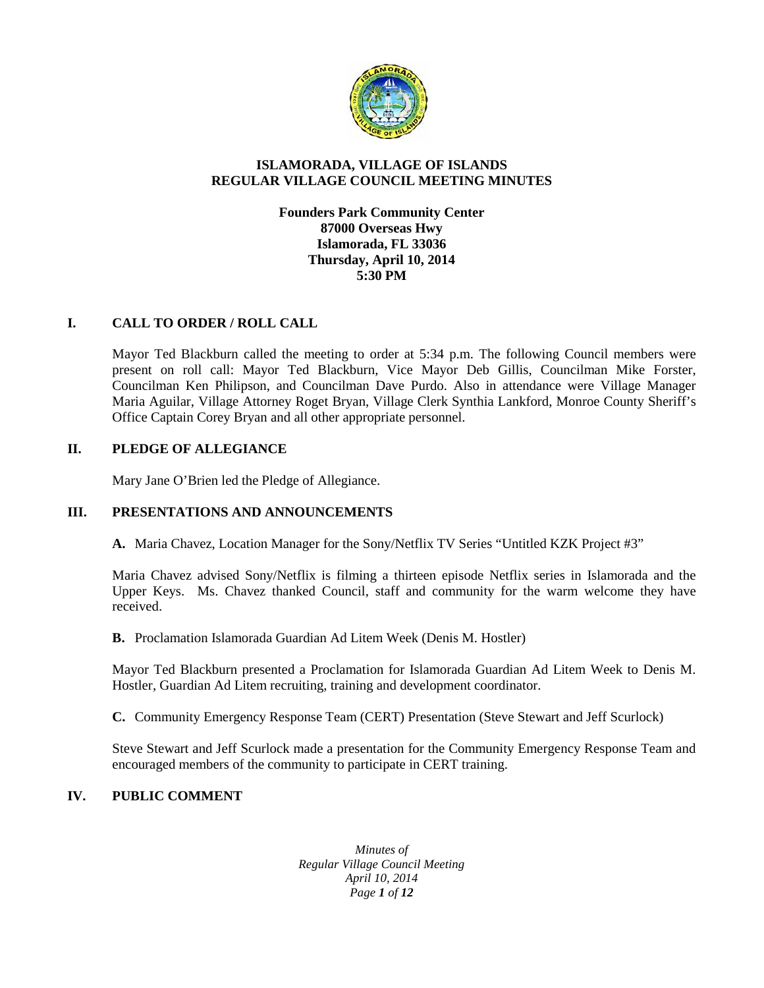

#### **ISLAMORADA, VILLAGE OF ISLANDS REGULAR VILLAGE COUNCIL MEETING MINUTES**

## **Founders Park Community Center 87000 Overseas Hwy Islamorada, FL 33036 Thursday, April 10, 2014 5:30 PM**

## **I. CALL TO ORDER / ROLL CALL**

Mayor Ted Blackburn called the meeting to order at 5:34 p.m. The following Council members were present on roll call: Mayor Ted Blackburn, Vice Mayor Deb Gillis, Councilman Mike Forster, Councilman Ken Philipson, and Councilman Dave Purdo. Also in attendance were Village Manager Maria Aguilar, Village Attorney Roget Bryan, Village Clerk Synthia Lankford, Monroe County Sheriff's Office Captain Corey Bryan and all other appropriate personnel.

## **II. PLEDGE OF ALLEGIANCE**

Mary Jane O'Brien led the Pledge of Allegiance.

#### **III. PRESENTATIONS AND ANNOUNCEMENTS**

**A.** Maria Chavez, Location Manager for the Sony/Netflix TV Series "Untitled KZK Project #3"

Maria Chavez advised Sony/Netflix is filming a thirteen episode Netflix series in Islamorada and the Upper Keys. Ms. Chavez thanked Council, staff and community for the warm welcome they have received.

**B.** Proclamation Islamorada Guardian Ad Litem Week (Denis M. Hostler)

Mayor Ted Blackburn presented a Proclamation for Islamorada Guardian Ad Litem Week to Denis M. Hostler, Guardian Ad Litem recruiting, training and development coordinator.

**C.** Community Emergency Response Team (CERT) Presentation (Steve Stewart and Jeff Scurlock)

Steve Stewart and Jeff Scurlock made a presentation for the Community Emergency Response Team and encouraged members of the community to participate in CERT training.

# **IV. PUBLIC COMMENT**

*Minutes of Regular Village Council Meeting April 10, 2014 Page 1 of 12*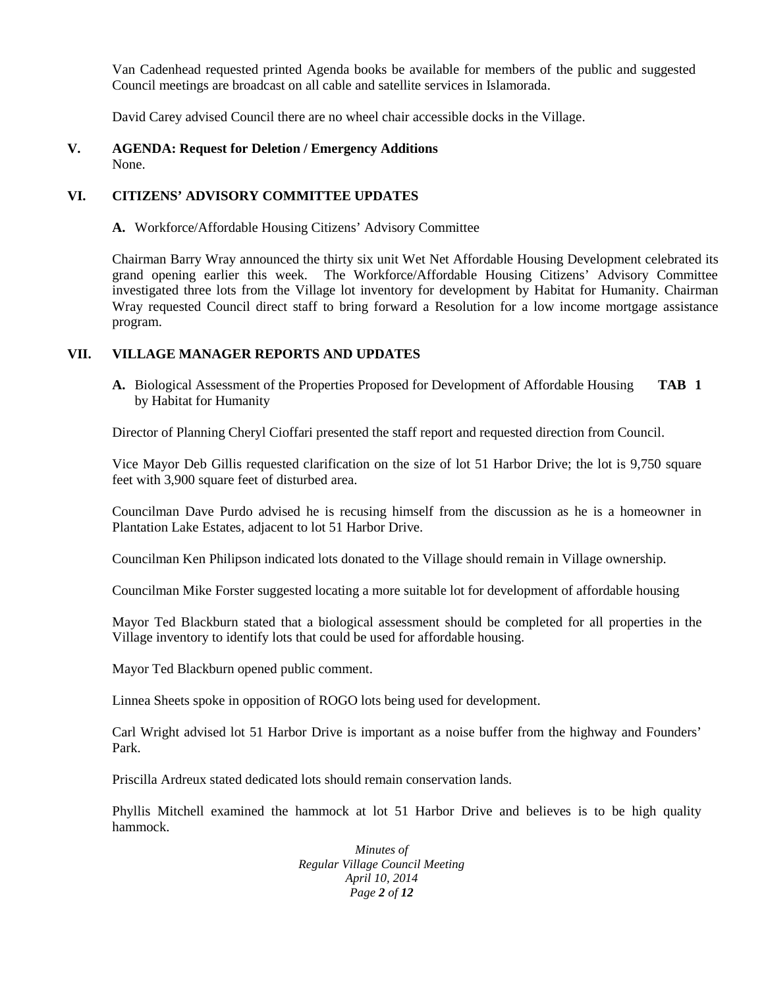Van Cadenhead requested printed Agenda books be available for members of the public and suggested Council meetings are broadcast on all cable and satellite services in Islamorada.

David Carey advised Council there are no wheel chair accessible docks in the Village.

#### **V. AGENDA: Request for Deletion / Emergency Additions** None.

## **VI. CITIZENS' ADVISORY COMMITTEE UPDATES**

**A.** Workforce/Affordable Housing Citizens' Advisory Committee

Chairman Barry Wray announced the thirty six unit Wet Net Affordable Housing Development celebrated its grand opening earlier this week. The Workforce/Affordable Housing Citizens' Advisory Committee investigated three lots from the Village lot inventory for development by Habitat for Humanity. Chairman Wray requested Council direct staff to bring forward a Resolution for a low income mortgage assistance program.

## **VII. VILLAGE MANAGER REPORTS AND UPDATES**

**A.** Biological Assessment of the Properties Proposed for Development of Affordable Housing **TAB 1** by Habitat for Humanity

Director of Planning Cheryl Cioffari presented the staff report and requested direction from Council.

Vice Mayor Deb Gillis requested clarification on the size of lot 51 Harbor Drive; the lot is 9,750 square feet with 3,900 square feet of disturbed area.

Councilman Dave Purdo advised he is recusing himself from the discussion as he is a homeowner in Plantation Lake Estates, adjacent to lot 51 Harbor Drive.

Councilman Ken Philipson indicated lots donated to the Village should remain in Village ownership.

Councilman Mike Forster suggested locating a more suitable lot for development of affordable housing

Mayor Ted Blackburn stated that a biological assessment should be completed for all properties in the Village inventory to identify lots that could be used for affordable housing.

Mayor Ted Blackburn opened public comment.

Linnea Sheets spoke in opposition of ROGO lots being used for development.

Carl Wright advised lot 51 Harbor Drive is important as a noise buffer from the highway and Founders' Park.

Priscilla Ardreux stated dedicated lots should remain conservation lands.

Phyllis Mitchell examined the hammock at lot 51 Harbor Drive and believes is to be high quality hammock.

> *Minutes of Regular Village Council Meeting April 10, 2014 Page 2 of 12*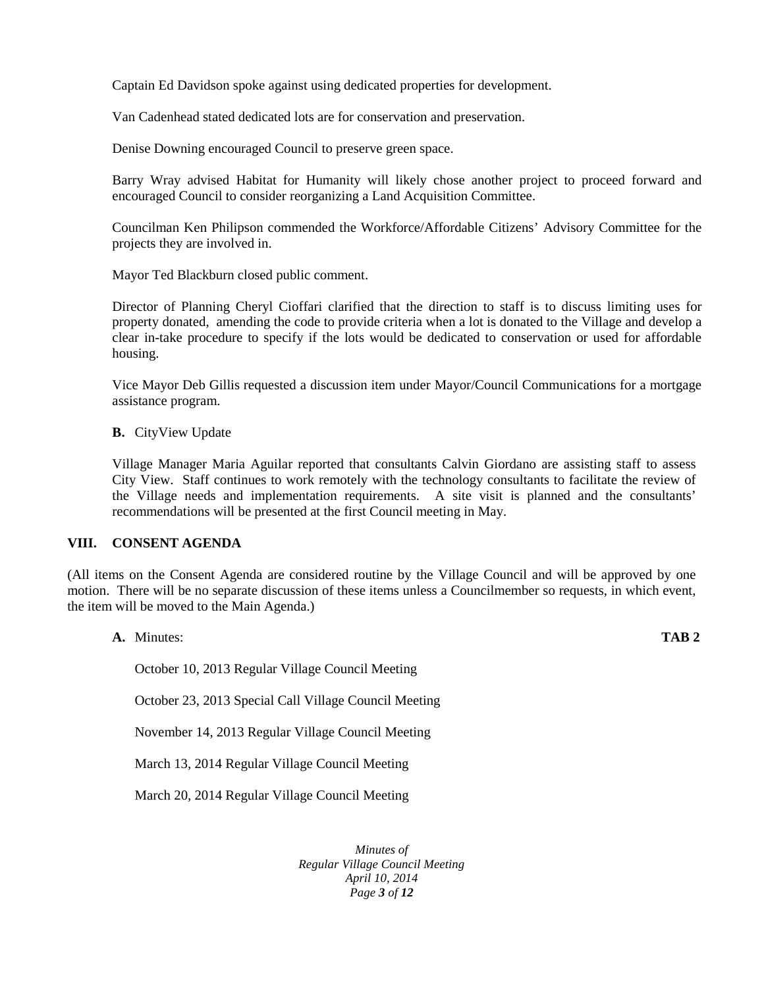Captain Ed Davidson spoke against using dedicated properties for development.

Van Cadenhead stated dedicated lots are for conservation and preservation.

Denise Downing encouraged Council to preserve green space.

Barry Wray advised Habitat for Humanity will likely chose another project to proceed forward and encouraged Council to consider reorganizing a Land Acquisition Committee.

Councilman Ken Philipson commended the Workforce/Affordable Citizens' Advisory Committee for the projects they are involved in.

Mayor Ted Blackburn closed public comment.

Director of Planning Cheryl Cioffari clarified that the direction to staff is to discuss limiting uses for property donated, amending the code to provide criteria when a lot is donated to the Village and develop a clear in-take procedure to specify if the lots would be dedicated to conservation or used for affordable housing.

Vice Mayor Deb Gillis requested a discussion item under Mayor/Council Communications for a mortgage assistance program.

**B.** CityView Update

Village Manager Maria Aguilar reported that consultants Calvin Giordano are assisting staff to assess City View. Staff continues to work remotely with the technology consultants to facilitate the review of the Village needs and implementation requirements. A site visit is planned and the consultants' recommendations will be presented at the first Council meeting in May.

#### **VIII. CONSENT AGENDA**

(All items on the Consent Agenda are considered routine by the Village Council and will be approved by one motion. There will be no separate discussion of these items unless a Councilmember so requests, in which event, the item will be moved to the Main Agenda.)

**A.** Minutes: **TAB 2**

October 10, 2013 Regular Village Council Meeting

October 23, 2013 Special Call Village Council Meeting

November 14, 2013 Regular Village Council Meeting

March 13, 2014 Regular Village Council Meeting

March 20, 2014 Regular Village Council Meeting

*Minutes of Regular Village Council Meeting April 10, 2014 Page 3 of 12*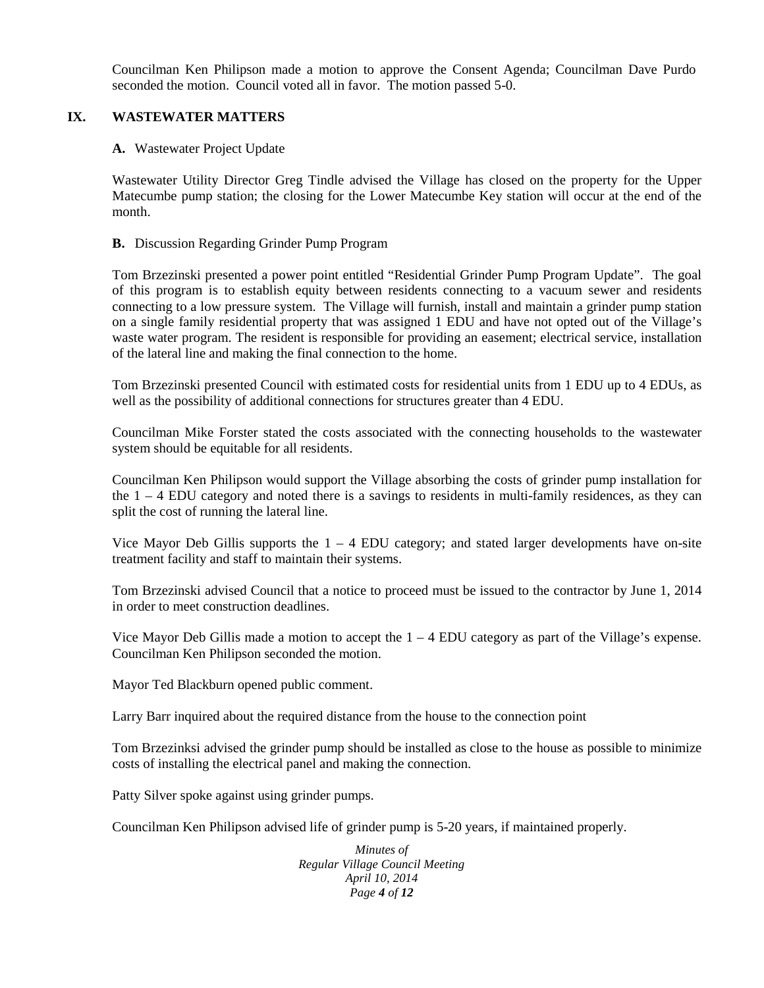Councilman Ken Philipson made a motion to approve the Consent Agenda; Councilman Dave Purdo seconded the motion. Council voted all in favor. The motion passed 5-0.

## **IX. WASTEWATER MATTERS**

#### **A.** Wastewater Project Update

Wastewater Utility Director Greg Tindle advised the Village has closed on the property for the Upper Matecumbe pump station; the closing for the Lower Matecumbe Key station will occur at the end of the month.

#### **B.** Discussion Regarding Grinder Pump Program

Tom Brzezinski presented a power point entitled "Residential Grinder Pump Program Update". The goal of this program is to establish equity between residents connecting to a vacuum sewer and residents connecting to a low pressure system. The Village will furnish, install and maintain a grinder pump station on a single family residential property that was assigned 1 EDU and have not opted out of the Village's waste water program. The resident is responsible for providing an easement; electrical service, installation of the lateral line and making the final connection to the home.

Tom Brzezinski presented Council with estimated costs for residential units from 1 EDU up to 4 EDUs, as well as the possibility of additional connections for structures greater than 4 EDU.

Councilman Mike Forster stated the costs associated with the connecting households to the wastewater system should be equitable for all residents.

Councilman Ken Philipson would support the Village absorbing the costs of grinder pump installation for the 1 – 4 EDU category and noted there is a savings to residents in multi-family residences, as they can split the cost of running the lateral line.

Vice Mayor Deb Gillis supports the  $1 - 4$  EDU category; and stated larger developments have on-site treatment facility and staff to maintain their systems.

Tom Brzezinski advised Council that a notice to proceed must be issued to the contractor by June 1, 2014 in order to meet construction deadlines.

Vice Mayor Deb Gillis made a motion to accept the  $1 - 4$  EDU category as part of the Village's expense. Councilman Ken Philipson seconded the motion.

Mayor Ted Blackburn opened public comment.

Larry Barr inquired about the required distance from the house to the connection point

Tom Brzezinksi advised the grinder pump should be installed as close to the house as possible to minimize costs of installing the electrical panel and making the connection.

Patty Silver spoke against using grinder pumps.

Councilman Ken Philipson advised life of grinder pump is 5-20 years, if maintained properly.

*Minutes of Regular Village Council Meeting April 10, 2014 Page 4 of 12*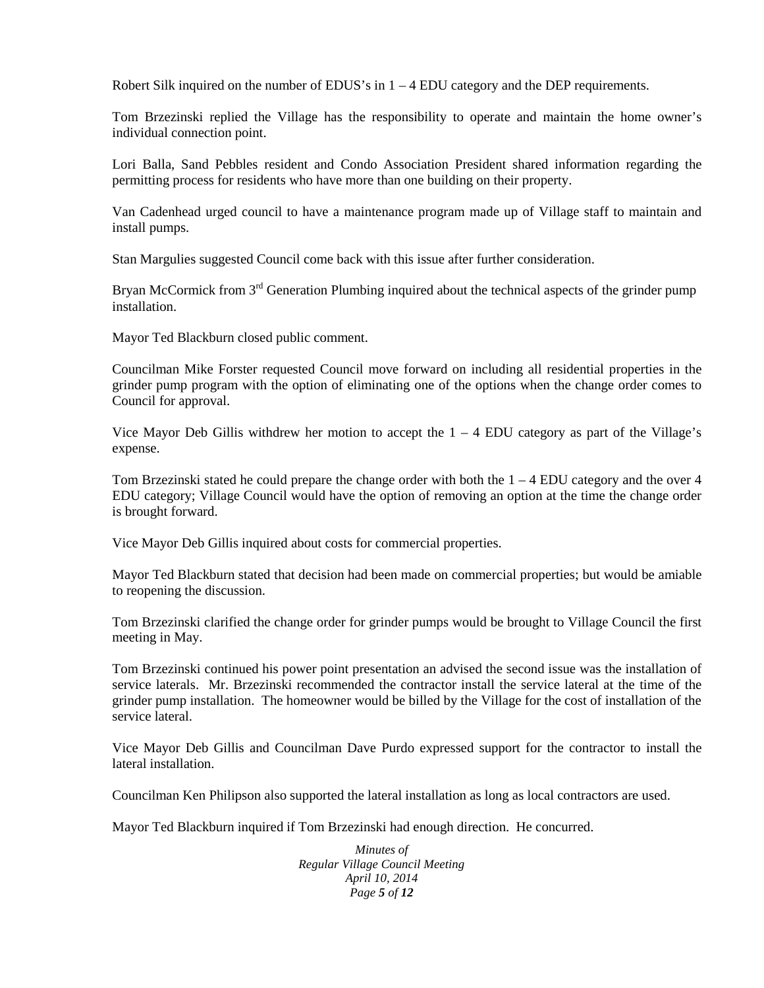Robert Silk inquired on the number of EDUS's in  $1 - 4$  EDU category and the DEP requirements.

Tom Brzezinski replied the Village has the responsibility to operate and maintain the home owner's individual connection point.

Lori Balla, Sand Pebbles resident and Condo Association President shared information regarding the permitting process for residents who have more than one building on their property.

Van Cadenhead urged council to have a maintenance program made up of Village staff to maintain and install pumps.

Stan Margulies suggested Council come back with this issue after further consideration.

Bryan McCormick from 3<sup>rd</sup> Generation Plumbing inquired about the technical aspects of the grinder pump installation.

Mayor Ted Blackburn closed public comment.

Councilman Mike Forster requested Council move forward on including all residential properties in the grinder pump program with the option of eliminating one of the options when the change order comes to Council for approval.

Vice Mayor Deb Gillis withdrew her motion to accept the  $1 - 4$  EDU category as part of the Village's expense.

Tom Brzezinski stated he could prepare the change order with both the 1 – 4 EDU category and the over 4 EDU category; Village Council would have the option of removing an option at the time the change order is brought forward.

Vice Mayor Deb Gillis inquired about costs for commercial properties.

Mayor Ted Blackburn stated that decision had been made on commercial properties; but would be amiable to reopening the discussion.

Tom Brzezinski clarified the change order for grinder pumps would be brought to Village Council the first meeting in May.

Tom Brzezinski continued his power point presentation an advised the second issue was the installation of service laterals. Mr. Brzezinski recommended the contractor install the service lateral at the time of the grinder pump installation. The homeowner would be billed by the Village for the cost of installation of the service lateral.

Vice Mayor Deb Gillis and Councilman Dave Purdo expressed support for the contractor to install the lateral installation.

Councilman Ken Philipson also supported the lateral installation as long as local contractors are used.

Mayor Ted Blackburn inquired if Tom Brzezinski had enough direction. He concurred.

*Minutes of Regular Village Council Meeting April 10, 2014 Page 5 of 12*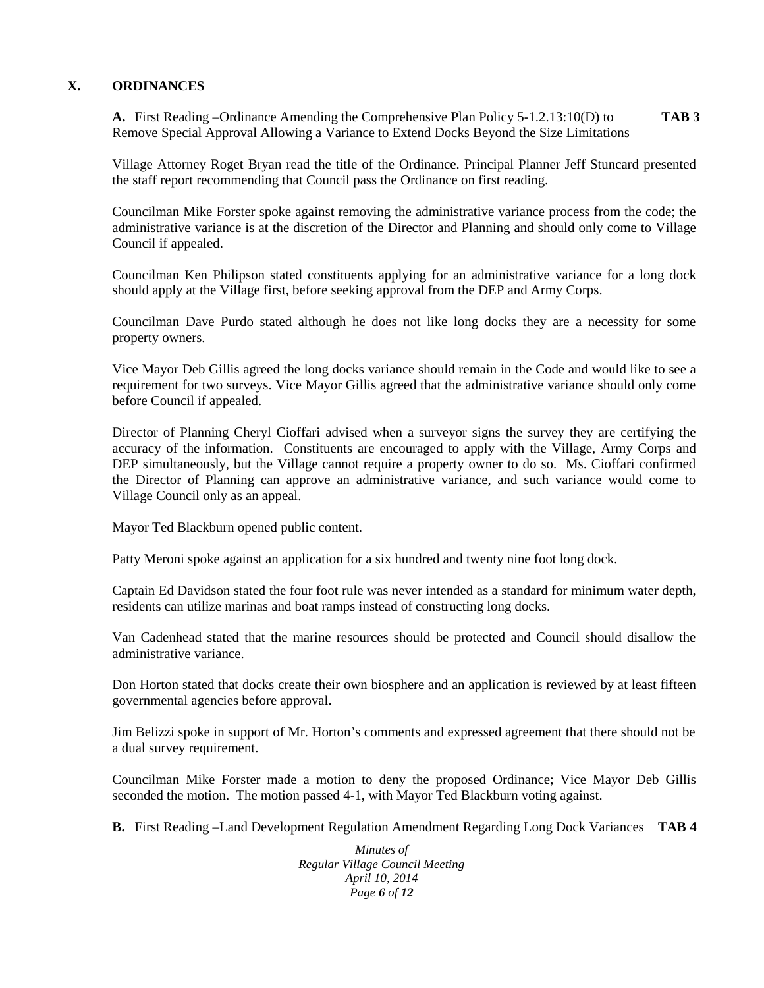## **X. ORDINANCES**

**A.** First Reading –Ordinance Amending the Comprehensive Plan Policy 5-1.2.13:10(D) to **TAB 3** Remove Special Approval Allowing a Variance to Extend Docks Beyond the Size Limitations

Village Attorney Roget Bryan read the title of the Ordinance. Principal Planner Jeff Stuncard presented the staff report recommending that Council pass the Ordinance on first reading.

Councilman Mike Forster spoke against removing the administrative variance process from the code; the administrative variance is at the discretion of the Director and Planning and should only come to Village Council if appealed.

Councilman Ken Philipson stated constituents applying for an administrative variance for a long dock should apply at the Village first, before seeking approval from the DEP and Army Corps.

Councilman Dave Purdo stated although he does not like long docks they are a necessity for some property owners.

Vice Mayor Deb Gillis agreed the long docks variance should remain in the Code and would like to see a requirement for two surveys. Vice Mayor Gillis agreed that the administrative variance should only come before Council if appealed.

Director of Planning Cheryl Cioffari advised when a surveyor signs the survey they are certifying the accuracy of the information. Constituents are encouraged to apply with the Village, Army Corps and DEP simultaneously, but the Village cannot require a property owner to do so. Ms. Cioffari confirmed the Director of Planning can approve an administrative variance, and such variance would come to Village Council only as an appeal.

Mayor Ted Blackburn opened public content.

Patty Meroni spoke against an application for a six hundred and twenty nine foot long dock.

Captain Ed Davidson stated the four foot rule was never intended as a standard for minimum water depth, residents can utilize marinas and boat ramps instead of constructing long docks.

Van Cadenhead stated that the marine resources should be protected and Council should disallow the administrative variance.

Don Horton stated that docks create their own biosphere and an application is reviewed by at least fifteen governmental agencies before approval.

Jim Belizzi spoke in support of Mr. Horton's comments and expressed agreement that there should not be a dual survey requirement.

Councilman Mike Forster made a motion to deny the proposed Ordinance; Vice Mayor Deb Gillis seconded the motion. The motion passed 4-1, with Mayor Ted Blackburn voting against.

**B.** First Reading –Land Development Regulation Amendment Regarding Long Dock Variances **TAB 4**

*Minutes of Regular Village Council Meeting April 10, 2014 Page 6 of 12*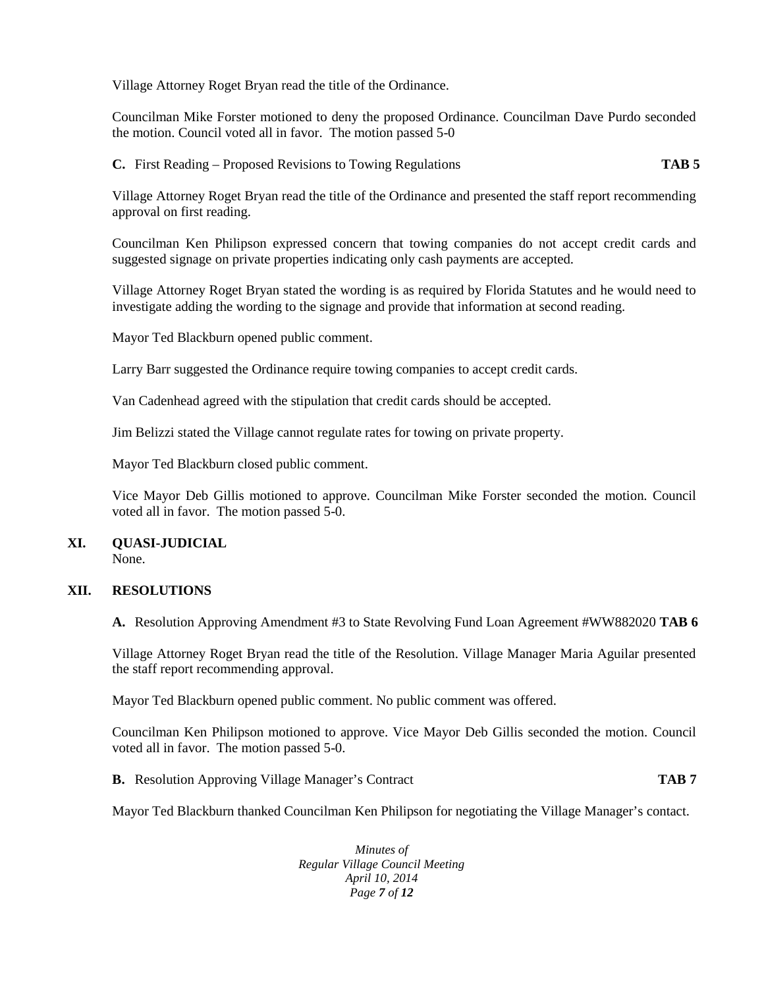Village Attorney Roget Bryan read the title of the Ordinance.

Councilman Mike Forster motioned to deny the proposed Ordinance. Councilman Dave Purdo seconded the motion. Council voted all in favor. The motion passed 5-0

**C.** First Reading – Proposed Revisions to Towing Regulations **TAB 5**

Village Attorney Roget Bryan read the title of the Ordinance and presented the staff report recommending approval on first reading.

Councilman Ken Philipson expressed concern that towing companies do not accept credit cards and suggested signage on private properties indicating only cash payments are accepted.

Village Attorney Roget Bryan stated the wording is as required by Florida Statutes and he would need to investigate adding the wording to the signage and provide that information at second reading.

Mayor Ted Blackburn opened public comment.

Larry Barr suggested the Ordinance require towing companies to accept credit cards.

Van Cadenhead agreed with the stipulation that credit cards should be accepted.

Jim Belizzi stated the Village cannot regulate rates for towing on private property.

Mayor Ted Blackburn closed public comment.

Vice Mayor Deb Gillis motioned to approve. Councilman Mike Forster seconded the motion. Council voted all in favor. The motion passed 5-0.

# **XI. QUASI-JUDICIAL**

None.

#### **XII. RESOLUTIONS**

**A.** Resolution Approving Amendment #3 to State Revolving Fund Loan Agreement #WW882020 **TAB 6**

Village Attorney Roget Bryan read the title of the Resolution. Village Manager Maria Aguilar presented the staff report recommending approval.

Mayor Ted Blackburn opened public comment. No public comment was offered.

Councilman Ken Philipson motioned to approve. Vice Mayor Deb Gillis seconded the motion. Council voted all in favor. The motion passed 5-0.

**B.** Resolution Approving Village Manager's Contract **TAB 7**

Mayor Ted Blackburn thanked Councilman Ken Philipson for negotiating the Village Manager's contact.

*Minutes of Regular Village Council Meeting April 10, 2014 Page 7 of 12*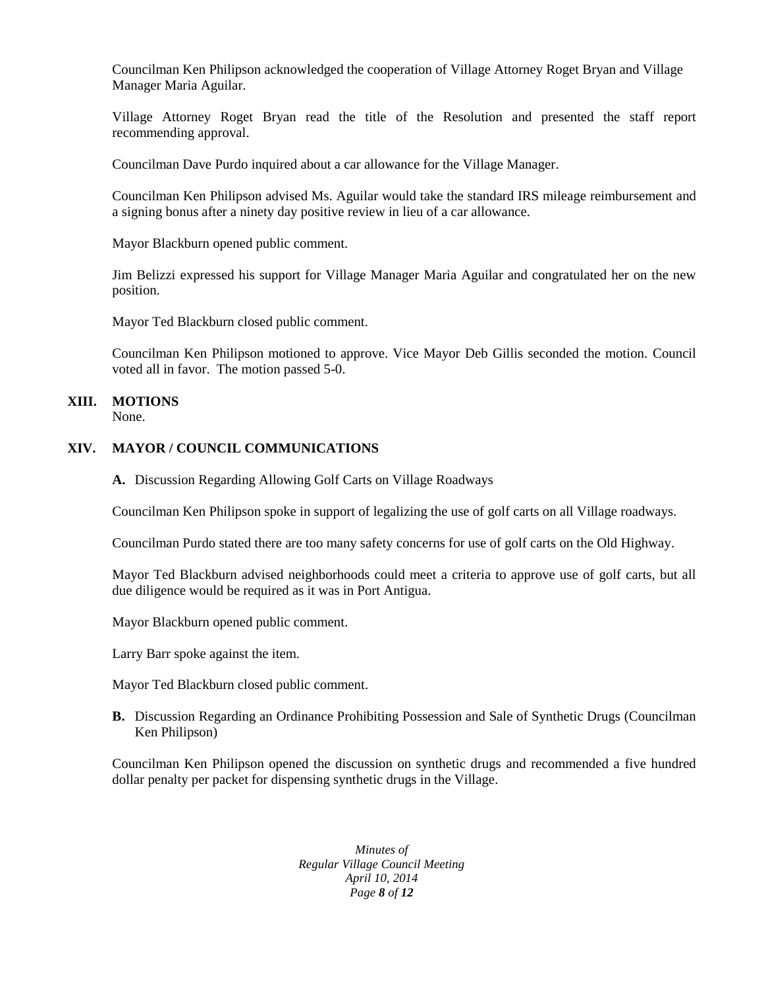Councilman Ken Philipson acknowledged the cooperation of Village Attorney Roget Bryan and Village Manager Maria Aguilar.

Village Attorney Roget Bryan read the title of the Resolution and presented the staff report recommending approval.

Councilman Dave Purdo inquired about a car allowance for the Village Manager.

Councilman Ken Philipson advised Ms. Aguilar would take the standard IRS mileage reimbursement and a signing bonus after a ninety day positive review in lieu of a car allowance.

Mayor Blackburn opened public comment.

Jim Belizzi expressed his support for Village Manager Maria Aguilar and congratulated her on the new position.

Mayor Ted Blackburn closed public comment.

Councilman Ken Philipson motioned to approve. Vice Mayor Deb Gillis seconded the motion. Council voted all in favor. The motion passed 5-0.

# **XIII. MOTIONS**

None.

#### **XIV. MAYOR / COUNCIL COMMUNICATIONS**

**A.** Discussion Regarding Allowing Golf Carts on Village Roadways

Councilman Ken Philipson spoke in support of legalizing the use of golf carts on all Village roadways.

Councilman Purdo stated there are too many safety concerns for use of golf carts on the Old Highway.

Mayor Ted Blackburn advised neighborhoods could meet a criteria to approve use of golf carts, but all due diligence would be required as it was in Port Antigua.

Mayor Blackburn opened public comment.

Larry Barr spoke against the item.

Mayor Ted Blackburn closed public comment.

**B.** Discussion Regarding an Ordinance Prohibiting Possession and Sale of Synthetic Drugs (Councilman Ken Philipson)

Councilman Ken Philipson opened the discussion on synthetic drugs and recommended a five hundred dollar penalty per packet for dispensing synthetic drugs in the Village.

> *Minutes of Regular Village Council Meeting April 10, 2014 Page 8 of 12*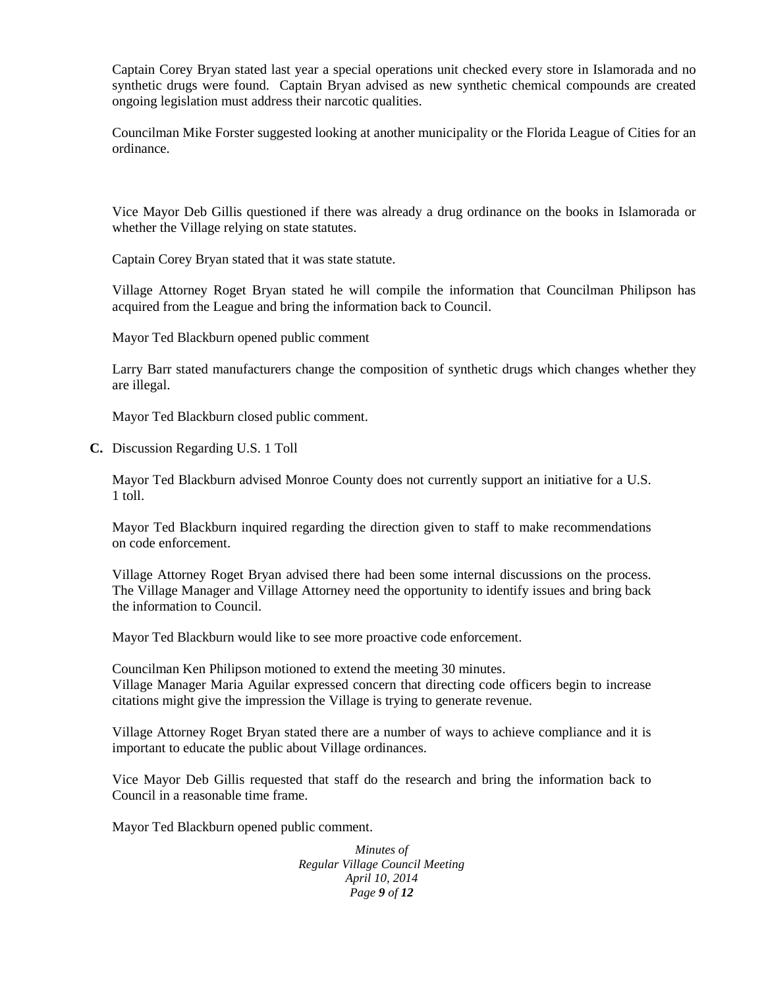Captain Corey Bryan stated last year a special operations unit checked every store in Islamorada and no synthetic drugs were found. Captain Bryan advised as new synthetic chemical compounds are created ongoing legislation must address their narcotic qualities.

Councilman Mike Forster suggested looking at another municipality or the Florida League of Cities for an ordinance.

Vice Mayor Deb Gillis questioned if there was already a drug ordinance on the books in Islamorada or whether the Village relying on state statutes.

Captain Corey Bryan stated that it was state statute.

Village Attorney Roget Bryan stated he will compile the information that Councilman Philipson has acquired from the League and bring the information back to Council.

Mayor Ted Blackburn opened public comment

Larry Barr stated manufacturers change the composition of synthetic drugs which changes whether they are illegal.

Mayor Ted Blackburn closed public comment.

**C.** Discussion Regarding U.S. 1 Toll

Mayor Ted Blackburn advised Monroe County does not currently support an initiative for a U.S. 1 toll.

Mayor Ted Blackburn inquired regarding the direction given to staff to make recommendations on code enforcement.

Village Attorney Roget Bryan advised there had been some internal discussions on the process. The Village Manager and Village Attorney need the opportunity to identify issues and bring back the information to Council.

Mayor Ted Blackburn would like to see more proactive code enforcement.

Councilman Ken Philipson motioned to extend the meeting 30 minutes. Village Manager Maria Aguilar expressed concern that directing code officers begin to increase citations might give the impression the Village is trying to generate revenue.

Village Attorney Roget Bryan stated there are a number of ways to achieve compliance and it is important to educate the public about Village ordinances.

Vice Mayor Deb Gillis requested that staff do the research and bring the information back to Council in a reasonable time frame.

Mayor Ted Blackburn opened public comment.

*Minutes of Regular Village Council Meeting April 10, 2014 Page 9 of 12*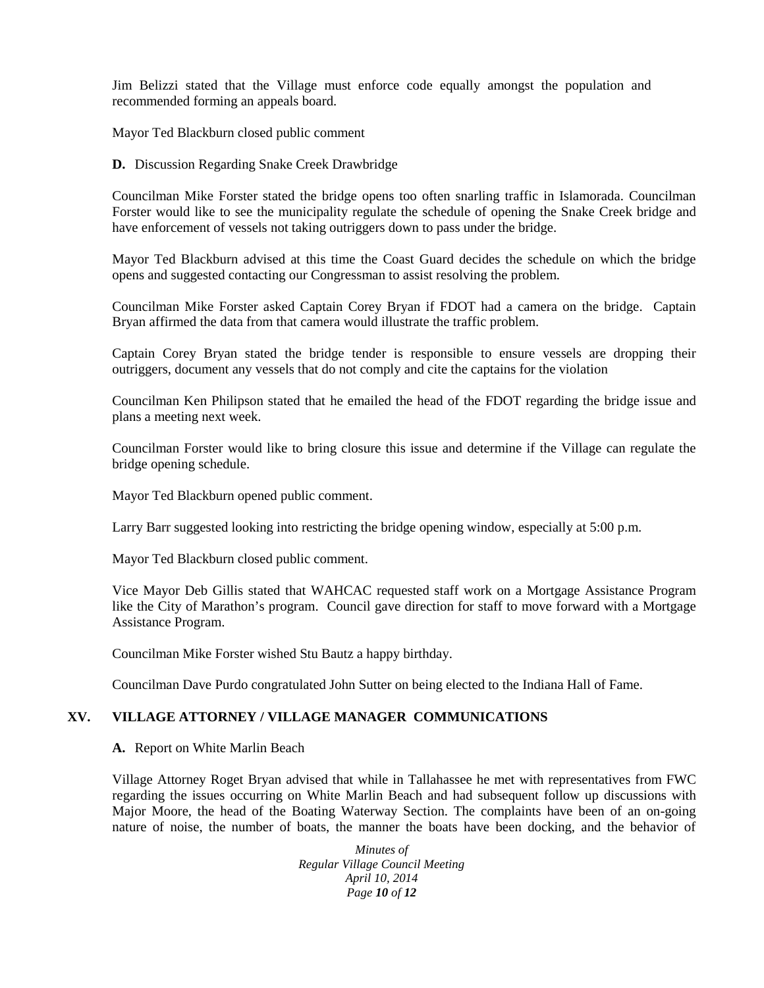Jim Belizzi stated that the Village must enforce code equally amongst the population and recommended forming an appeals board.

Mayor Ted Blackburn closed public comment

**D.** Discussion Regarding Snake Creek Drawbridge

Councilman Mike Forster stated the bridge opens too often snarling traffic in Islamorada. Councilman Forster would like to see the municipality regulate the schedule of opening the Snake Creek bridge and have enforcement of vessels not taking outriggers down to pass under the bridge.

Mayor Ted Blackburn advised at this time the Coast Guard decides the schedule on which the bridge opens and suggested contacting our Congressman to assist resolving the problem.

Councilman Mike Forster asked Captain Corey Bryan if FDOT had a camera on the bridge. Captain Bryan affirmed the data from that camera would illustrate the traffic problem.

Captain Corey Bryan stated the bridge tender is responsible to ensure vessels are dropping their outriggers, document any vessels that do not comply and cite the captains for the violation

Councilman Ken Philipson stated that he emailed the head of the FDOT regarding the bridge issue and plans a meeting next week.

Councilman Forster would like to bring closure this issue and determine if the Village can regulate the bridge opening schedule.

Mayor Ted Blackburn opened public comment.

Larry Barr suggested looking into restricting the bridge opening window, especially at 5:00 p.m.

Mayor Ted Blackburn closed public comment.

Vice Mayor Deb Gillis stated that WAHCAC requested staff work on a Mortgage Assistance Program like the City of Marathon's program. Council gave direction for staff to move forward with a Mortgage Assistance Program.

Councilman Mike Forster wished Stu Bautz a happy birthday.

Councilman Dave Purdo congratulated John Sutter on being elected to the Indiana Hall of Fame.

# **XV. VILLAGE ATTORNEY / VILLAGE MANAGER COMMUNICATIONS**

#### **A.** Report on White Marlin Beach

Village Attorney Roget Bryan advised that while in Tallahassee he met with representatives from FWC regarding the issues occurring on White Marlin Beach and had subsequent follow up discussions with Major Moore, the head of the Boating Waterway Section. The complaints have been of an on-going nature of noise, the number of boats, the manner the boats have been docking, and the behavior of

> *Minutes of Regular Village Council Meeting April 10, 2014 Page 10 of 12*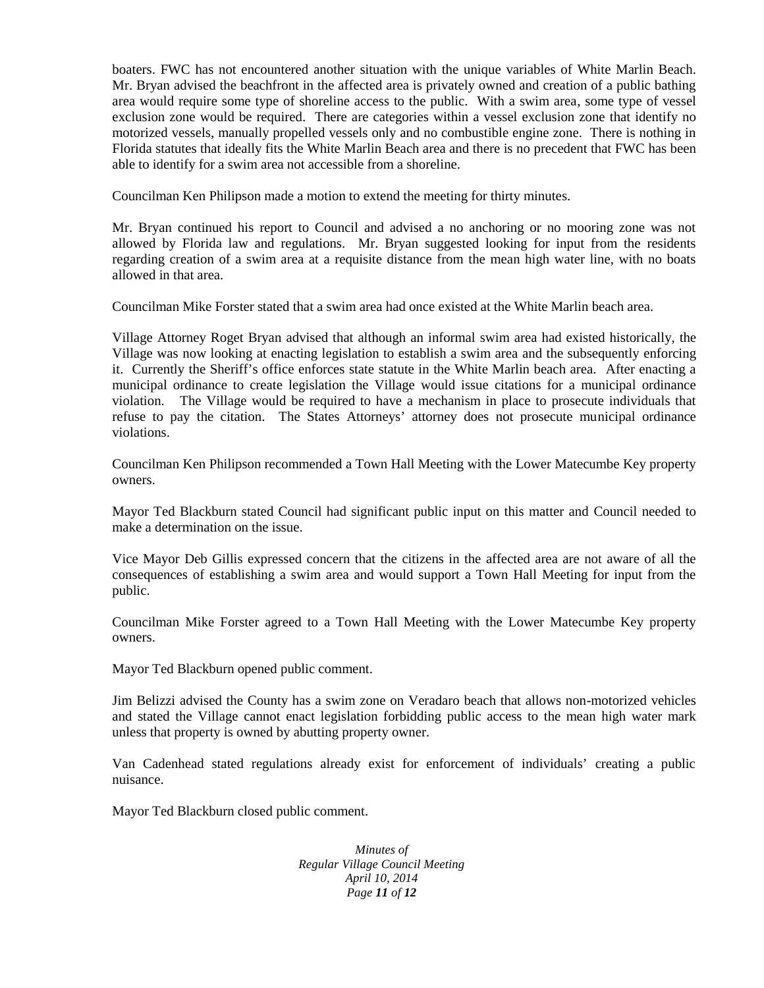boaters. FWC has not encountered another situation with the unique variables of White Marlin Beach. Mr. Bryan advised the beachfront in the affected area is privately owned and creation of a public bathing area would require some type of shoreline access to the public. With a swim area, some type of vessel exclusion zone would be required. There are categories within a vessel exclusion zone that identify no motorized vessels, manually propelled vessels only and no combustible engine zone. There is nothing in Florida statutes that ideally fits the White Marlin Beach area and there is no precedent that FWC has been able to identify for a swim area not accessible from a shoreline.

Councilman Ken Philipson made a motion to extend the meeting for thirty minutes.

Mr. Bryan continued his report to Council and advised a no anchoring or no mooring zone was not allowed by Florida law and regulations. Mr. Bryan suggested looking for input from the residents regarding creation of a swim area at a requisite distance from the mean high water line, with no boats allowed in that area.

Councilman Mike Forster stated that a swim area had once existed at the White Marlin beach area.

Village Attorney Roget Bryan advised that although an informal swim area had existed historically, the Village was now looking at enacting legislation to establish a swim area and the subsequently enforcing it. Currently the Sheriff's office enforces state statute in the White Marlin beach area. After enacting a municipal ordinance to create legislation the Village would issue citations for a municipal ordinance violation. The Village would be required to have a mechanism in place to prosecute individuals that refuse to pay the citation. The States Attorneys' attorney does not prosecute municipal ordinance violations.

Councilman Ken Philipson recommended a Town Hall Meeting with the Lower Matecumbe Key property owners.

Mayor Ted Blackburn stated Council had significant public input on this matter and Council needed to make a determination on the issue.

Vice Mayor Deb Gillis expressed concern that the citizens in the affected area are not aware of all the consequences of establishing a swim area and would support a Town Hall Meeting for input from the public.

Councilman Mike Forster agreed to a Town Hall Meeting with the Lower Matecumbe Key property owners.

Mayor Ted Blackburn opened public comment.

Jim Belizzi advised the County has a swim zone on Veradaro beach that allows non-motorized vehicles and stated the Village cannot enact legislation forbidding public access to the mean high water mark unless that property is owned by abutting property owner.

Van Cadenhead stated regulations already exist for enforcement of individuals' creating a public nuisance.

Mayor Ted Blackburn closed public comment.

*Minutes of Regular Village Council Meeting April 10, 2014 Page 11 of 12*